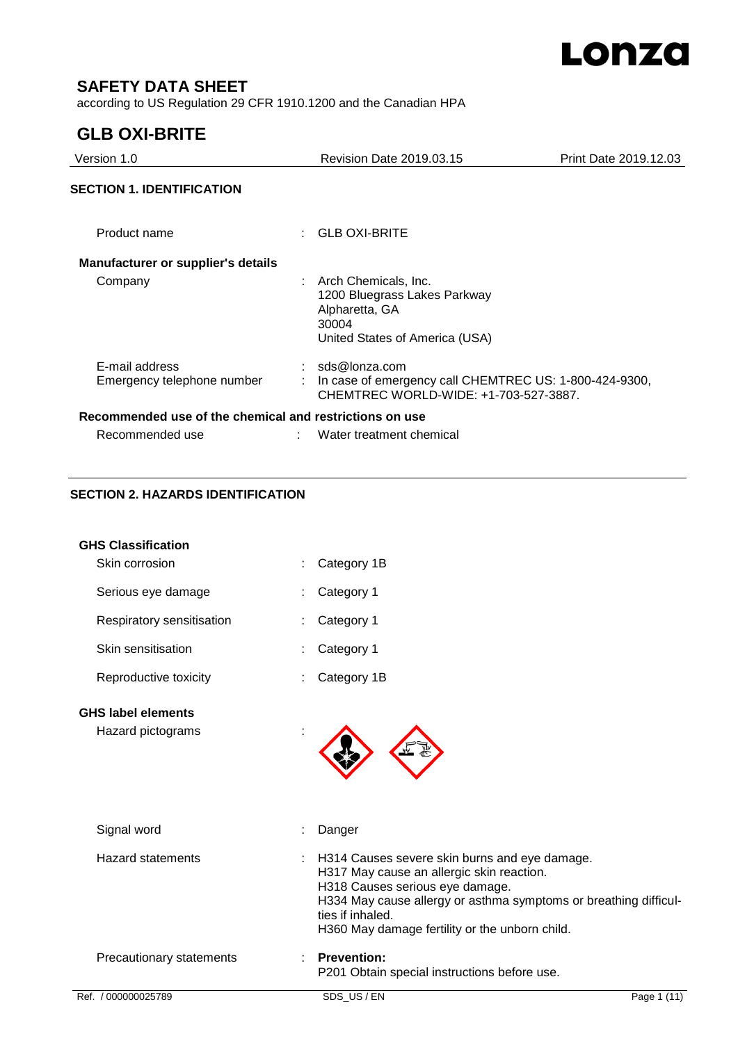

# **SAFETY DATA SHEET**

according to US Regulation 29 CFR 1910.1200 and the Canadian HPA

# **GLB OXI-BRITE**

| Version 1.0                                             | Revision Date 2019.03.15                                                                                            | Print Date 2019.12.03 |
|---------------------------------------------------------|---------------------------------------------------------------------------------------------------------------------|-----------------------|
| <b>SECTION 1. IDENTIFICATION</b>                        |                                                                                                                     |                       |
| Product name                                            | $:$ GLB OXI-BRITE                                                                                                   |                       |
| <b>Manufacturer or supplier's details</b>               |                                                                                                                     |                       |
| Company                                                 | : Arch Chemicals, Inc.<br>1200 Bluegrass Lakes Parkway<br>Alpharetta, GA<br>30004<br>United States of America (USA) |                       |
| E-mail address<br>Emergency telephone number            | sds@lonza.com<br>In case of emergency call CHEMTREC US: 1-800-424-9300,<br>CHEMTREC WORLD-WIDE: +1-703-527-3887.    |                       |
| Recommended use of the chemical and restrictions on use |                                                                                                                     |                       |
| Recommended use                                         | Water treatment chemical                                                                                            |                       |

### **SECTION 2. HAZARDS IDENTIFICATION**

| Ref. / 000000025789                         | SDS US/EN<br>Page 1 (11)                                                                                                                                                                                               |
|---------------------------------------------|------------------------------------------------------------------------------------------------------------------------------------------------------------------------------------------------------------------------|
|                                             | P201 Obtain special instructions before use.                                                                                                                                                                           |
| Precautionary statements                    | <b>Prevention:</b>                                                                                                                                                                                                     |
|                                             | H317 May cause an allergic skin reaction.<br>H318 Causes serious eye damage.<br>H334 May cause allergy or asthma symptoms or breathing difficul-<br>ties if inhaled.<br>H360 May damage fertility or the unborn child. |
| <b>Hazard statements</b>                    | H314 Causes severe skin burns and eye damage.                                                                                                                                                                          |
| Signal word                                 | Danger                                                                                                                                                                                                                 |
| Hazard pictograms                           |                                                                                                                                                                                                                        |
| <b>GHS label elements</b>                   |                                                                                                                                                                                                                        |
| Reproductive toxicity                       | Category 1B                                                                                                                                                                                                            |
| Skin sensitisation                          | Category 1                                                                                                                                                                                                             |
| Respiratory sensitisation                   | Category 1                                                                                                                                                                                                             |
| Serious eye damage                          | Category 1                                                                                                                                                                                                             |
| <b>GHS Classification</b><br>Skin corrosion | Category 1B                                                                                                                                                                                                            |
|                                             |                                                                                                                                                                                                                        |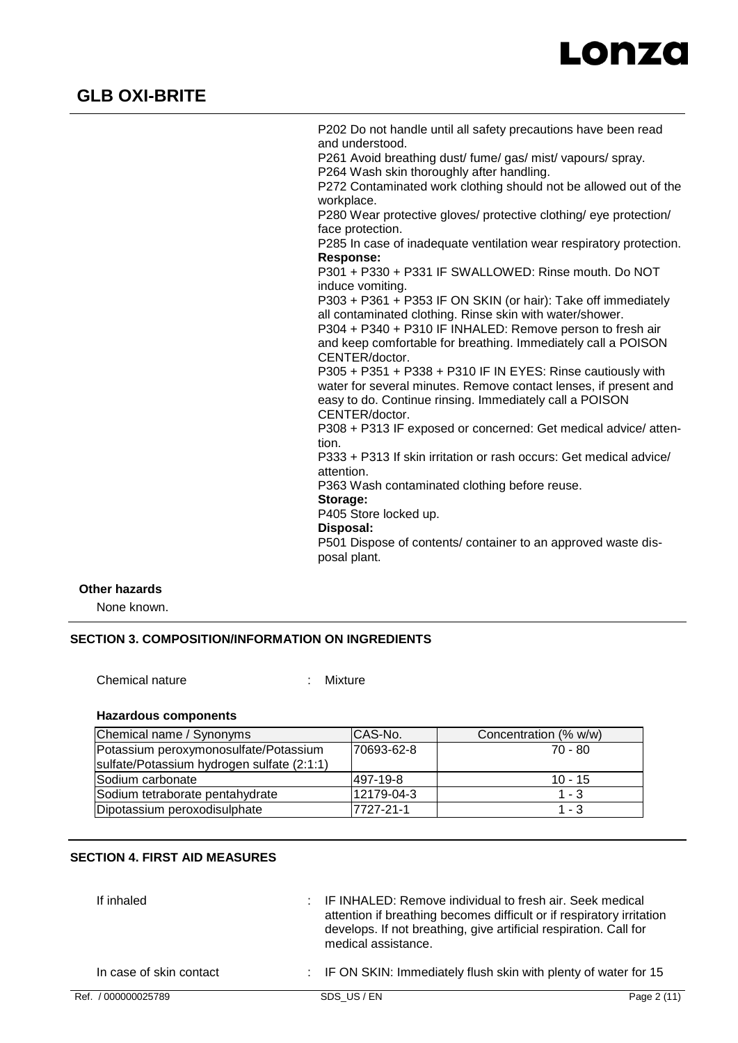

P202 Do not handle until all safety precautions have been read and understood. P261 Avoid breathing dust/ fume/ gas/ mist/ vapours/ spray. P264 Wash skin thoroughly after handling. P272 Contaminated work clothing should not be allowed out of the workplace. P280 Wear protective gloves/ protective clothing/ eye protection/ face protection. P285 In case of inadequate ventilation wear respiratory protection. **Response:**  P301 + P330 + P331 IF SWALLOWED: Rinse mouth. Do NOT induce vomiting. P303 + P361 + P353 IF ON SKIN (or hair): Take off immediately all contaminated clothing. Rinse skin with water/shower. P304 + P340 + P310 IF INHALED: Remove person to fresh air and keep comfortable for breathing. Immediately call a POISON CENTER/doctor. P305 + P351 + P338 + P310 IF IN EYES: Rinse cautiously with water for several minutes. Remove contact lenses, if present and easy to do. Continue rinsing. Immediately call a POISON CENTER/doctor. P308 + P313 IF exposed or concerned: Get medical advice/ attention. P333 + P313 If skin irritation or rash occurs: Get medical advice/ attention. P363 Wash contaminated clothing before reuse. **Storage:**  P405 Store locked up. **Disposal:**  P501 Dispose of contents/ container to an approved waste disposal plant.

### **Other hazards**

None known.

### **SECTION 3. COMPOSITION/INFORMATION ON INGREDIENTS**

Chemical nature : Mixture

#### **Hazardous components**

| Chemical name / Synonyms                   | CAS-No.    | Concentration (% w/w) |
|--------------------------------------------|------------|-----------------------|
| Potassium peroxymonosulfate/Potassium      | 70693-62-8 | 70 - 80               |
| sulfate/Potassium hydrogen sulfate (2:1:1) |            |                       |
| lSodium carbonate                          | 497-19-8   | $10 - 15$             |
| Sodium tetraborate pentahydrate            | 12179-04-3 | $1 - 3$               |
| Dipotassium peroxodisulphate               | 7727-21-1  | $1 - 3$               |

### **SECTION 4. FIRST AID MEASURES**

| If inhaled              | : IF INHALED: Remove individual to fresh air. Seek medical<br>attention if breathing becomes difficult or if respiratory irritation<br>develops. If not breathing, give artificial respiration. Call for<br>medical assistance. |             |
|-------------------------|---------------------------------------------------------------------------------------------------------------------------------------------------------------------------------------------------------------------------------|-------------|
| In case of skin contact | : IF ON SKIN: Immediately flush skin with plenty of water for 15                                                                                                                                                                |             |
| Ref. / 000000025789     | SDS US/EN                                                                                                                                                                                                                       | Page 2 (11) |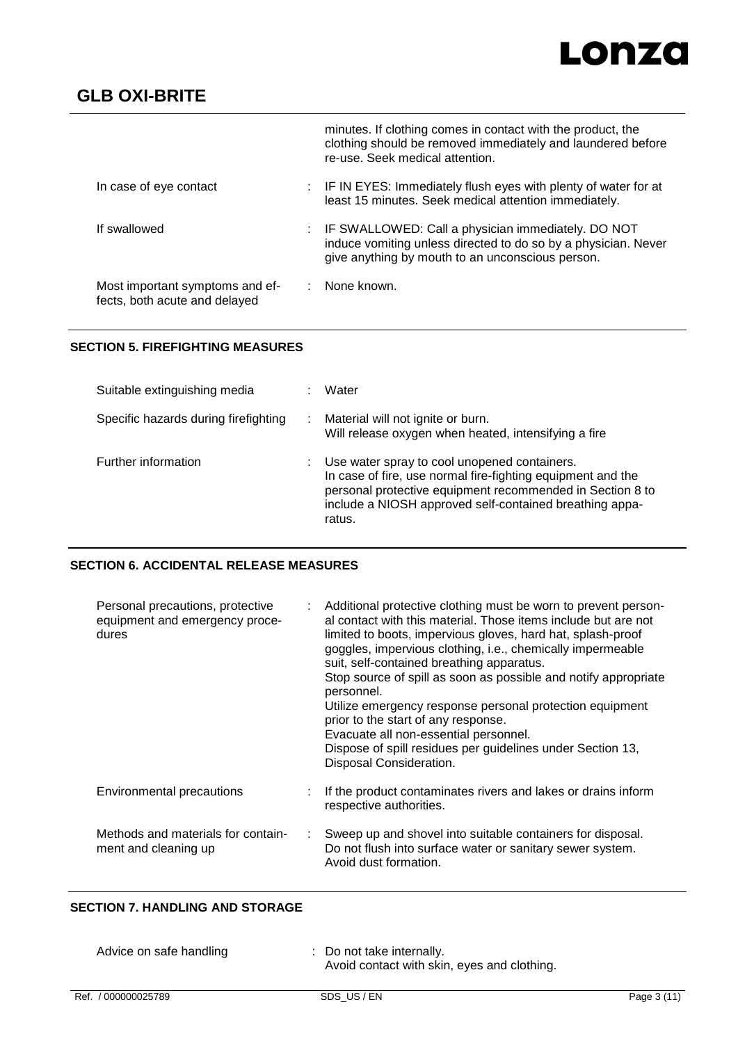# Lonza

# **GLB OXI-BRITE**

|                                                                  |       | minutes. If clothing comes in contact with the product, the<br>clothing should be removed immediately and laundered before<br>re-use. Seek medical attention.            |
|------------------------------------------------------------------|-------|--------------------------------------------------------------------------------------------------------------------------------------------------------------------------|
| In case of eye contact                                           |       | : IF IN EYES: Immediately flush eyes with plenty of water for at<br>least 15 minutes. Seek medical attention immediately.                                                |
| If swallowed                                                     |       | IF SWALLOWED: Call a physician immediately. DO NOT<br>induce vomiting unless directed to do so by a physician. Never<br>give anything by mouth to an unconscious person. |
| Most important symptoms and ef-<br>fects, both acute and delayed | diam. | None known.                                                                                                                                                              |

### **SECTION 5. FIREFIGHTING MEASURES**

| Suitable extinguishing media         | Water                                                                                                                                                                                                                                         |
|--------------------------------------|-----------------------------------------------------------------------------------------------------------------------------------------------------------------------------------------------------------------------------------------------|
| Specific hazards during firefighting | Material will not ignite or burn.<br>Will release oxygen when heated, intensifying a fire                                                                                                                                                     |
| Further information                  | Use water spray to cool unopened containers.<br>In case of fire, use normal fire-fighting equipment and the<br>personal protective equipment recommended in Section 8 to<br>include a NIOSH approved self-contained breathing appa-<br>ratus. |

## **SECTION 6. ACCIDENTAL RELEASE MEASURES**

| Personal precautions, protective<br>equipment and emergency proce-<br>dures | Additional protective clothing must be worn to prevent person-<br>al contact with this material. Those items include but are not<br>limited to boots, impervious gloves, hard hat, splash-proof<br>goggles, impervious clothing, i.e., chemically impermeable<br>suit, self-contained breathing apparatus.<br>Stop source of spill as soon as possible and notify appropriate<br>personnel.<br>Utilize emergency response personal protection equipment<br>prior to the start of any response.<br>Evacuate all non-essential personnel.<br>Dispose of spill residues per guidelines under Section 13,<br>Disposal Consideration. |
|-----------------------------------------------------------------------------|----------------------------------------------------------------------------------------------------------------------------------------------------------------------------------------------------------------------------------------------------------------------------------------------------------------------------------------------------------------------------------------------------------------------------------------------------------------------------------------------------------------------------------------------------------------------------------------------------------------------------------|
| Environmental precautions                                                   | If the product contaminates rivers and lakes or drains inform<br>respective authorities.                                                                                                                                                                                                                                                                                                                                                                                                                                                                                                                                         |
| Methods and materials for contain-<br>÷<br>ment and cleaning up             | Sweep up and shovel into suitable containers for disposal.<br>Do not flush into surface water or sanitary sewer system.<br>Avoid dust formation.                                                                                                                                                                                                                                                                                                                                                                                                                                                                                 |

# **SECTION 7. HANDLING AND STORAGE**

| Advice on safe handling | : Do not take internally.<br>Avoid contact with skin, eyes and clothing. |
|-------------------------|--------------------------------------------------------------------------|
|-------------------------|--------------------------------------------------------------------------|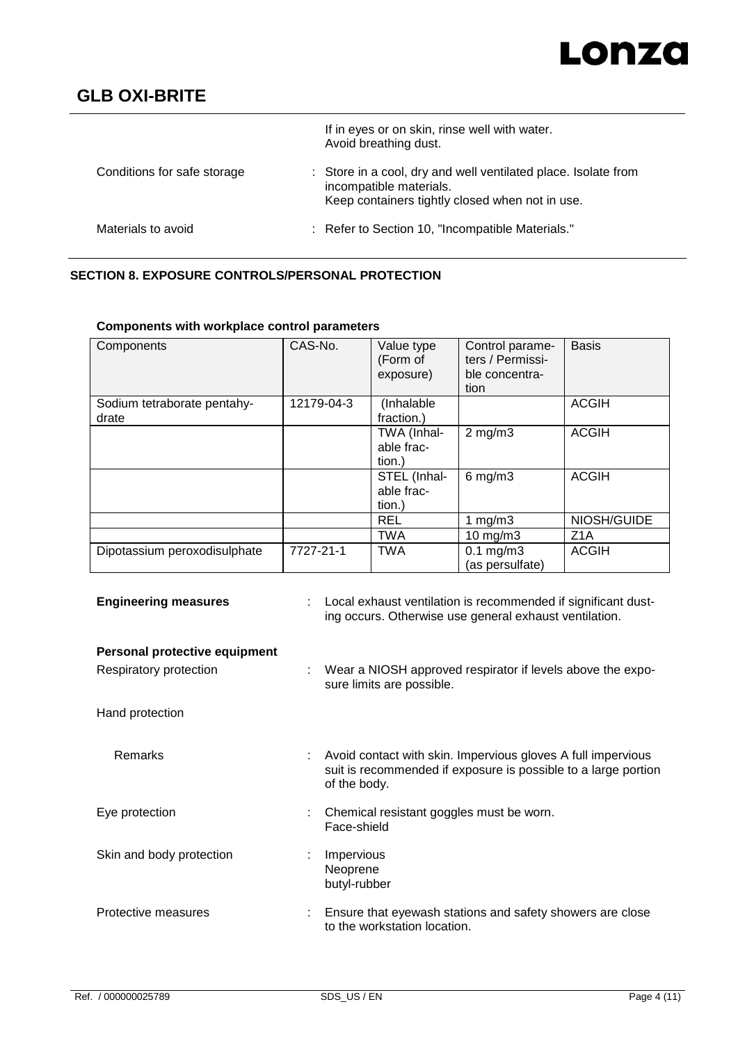# Lonza

# **GLB OXI-BRITE**

|                             | If in eyes or on skin, rinse well with water.<br>Avoid breathing dust.                                                                       |
|-----------------------------|----------------------------------------------------------------------------------------------------------------------------------------------|
| Conditions for safe storage | : Store in a cool, dry and well ventilated place. Isolate from<br>incompatible materials.<br>Keep containers tightly closed when not in use. |
| Materials to avoid          | : Refer to Section 10, "Incompatible Materials."                                                                                             |

# **SECTION 8. EXPOSURE CONTROLS/PERSONAL PROTECTION**

**Components with workplace control parameters**

| Components                           | CAS-No.    | Value type<br>(Form of<br>exposure)  | Control parame-<br>ters / Permissi-<br>ble concentra-<br>tion | <b>Basis</b>     |
|--------------------------------------|------------|--------------------------------------|---------------------------------------------------------------|------------------|
| Sodium tetraborate pentahy-<br>drate | 12179-04-3 | (Inhalable<br>fraction.)             |                                                               | <b>ACGIH</b>     |
|                                      |            | TWA (Inhal-<br>able frac-<br>tion.)  | $2$ mg/m $3$                                                  | <b>ACGIH</b>     |
|                                      |            | STEL (Inhal-<br>able frac-<br>tion.) | $6$ mg/m $3$                                                  | <b>ACGIH</b>     |
|                                      |            | <b>REL</b>                           | 1 $mg/m3$                                                     | NIOSH/GUIDE      |
|                                      |            | <b>TWA</b>                           | $10$ mg/m $3$                                                 | Z <sub>1</sub> A |
| Dipotassium peroxodisulphate         | 7727-21-1  | <b>TWA</b>                           | $0.1$ mg/m $3$<br>(as persulfate)                             | <b>ACGIH</b>     |

|                          |           | STEL (Inhal-<br>able frac-<br>tion.) | $6 \,\mathrm{mg/m}$                     | ACC        |
|--------------------------|-----------|--------------------------------------|-----------------------------------------|------------|
|                          |           | REL                                  | 1 mg/m $3$                              | <b>NIO</b> |
|                          |           | <b>TWA</b>                           | $10 \text{ mg/m}$                       | Z1A        |
| tassium peroxodisulphate | 7727-21-1 | <b>TWA</b>                           | $0.1 \text{ mg/m}$ 3<br>(as persulfate) | <b>ACC</b> |
|                          |           |                                      |                                         |            |

| <b>Engineering measures</b>                             | Local exhaust ventilation is recommended if significant dust-<br>ing occurs. Otherwise use general exhaust ventilation.                        |
|---------------------------------------------------------|------------------------------------------------------------------------------------------------------------------------------------------------|
| Personal protective equipment<br>Respiratory protection | Wear a NIOSH approved respirator if levels above the expo-<br>sure limits are possible.                                                        |
| Hand protection                                         |                                                                                                                                                |
| Remarks                                                 | Avoid contact with skin. Impervious gloves A full impervious<br>suit is recommended if exposure is possible to a large portion<br>of the body. |
| Eye protection                                          | Chemical resistant goggles must be worn.<br>Face-shield                                                                                        |
| Skin and body protection                                | Impervious<br>Neoprene<br>butyl-rubber                                                                                                         |
| Protective measures                                     | Ensure that eyewash stations and safety showers are close<br>to the workstation location.                                                      |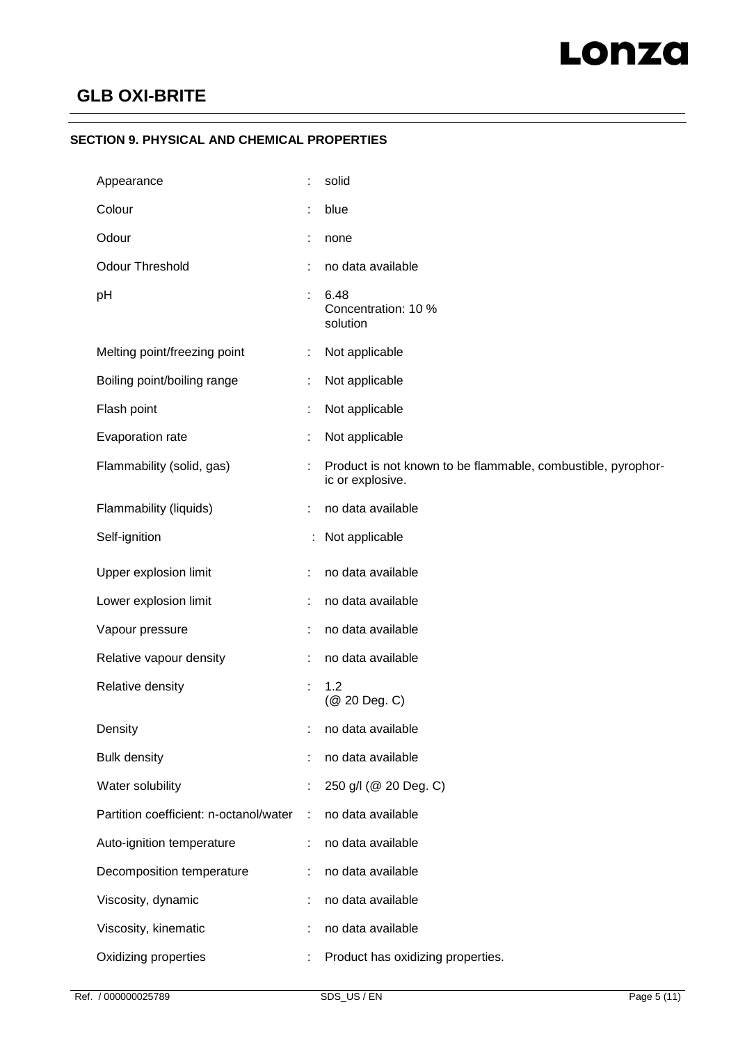### **SECTION 9. PHYSICAL AND CHEMICAL PROPERTIES**

| Appearance                             |   | solid                                                                            |
|----------------------------------------|---|----------------------------------------------------------------------------------|
| Colour                                 |   | blue                                                                             |
| Odour                                  |   | none                                                                             |
| <b>Odour Threshold</b>                 |   | no data available                                                                |
| pH                                     |   | 6.48<br>Concentration: 10 %<br>solution                                          |
| Melting point/freezing point           | ÷ | Not applicable                                                                   |
| Boiling point/boiling range            |   | Not applicable                                                                   |
| Flash point                            | ÷ | Not applicable                                                                   |
| Evaporation rate                       |   | Not applicable                                                                   |
| Flammability (solid, gas)              |   | Product is not known to be flammable, combustible, pyrophor-<br>ic or explosive. |
| Flammability (liquids)                 |   | no data available                                                                |
| Self-ignition                          |   | Not applicable                                                                   |
| Upper explosion limit                  | ÷ | no data available                                                                |
| Lower explosion limit                  |   | no data available                                                                |
| Vapour pressure                        |   | no data available                                                                |
| Relative vapour density                |   | no data available                                                                |
| Relative density                       | ÷ | 1.2<br>(@ 20 Deg. C)                                                             |
| Density                                | t | no data available                                                                |
| <b>Bulk density</b>                    |   | no data available                                                                |
| Water solubility                       |   | 250 g/l (@ 20 Deg. C)                                                            |
| Partition coefficient: n-octanol/water | ÷ | no data available                                                                |
| Auto-ignition temperature              | ÷ | no data available                                                                |
| Decomposition temperature              | ÷ | no data available                                                                |
| Viscosity, dynamic                     |   | no data available                                                                |
| Viscosity, kinematic                   |   | no data available                                                                |
| Oxidizing properties                   |   | Product has oxidizing properties.                                                |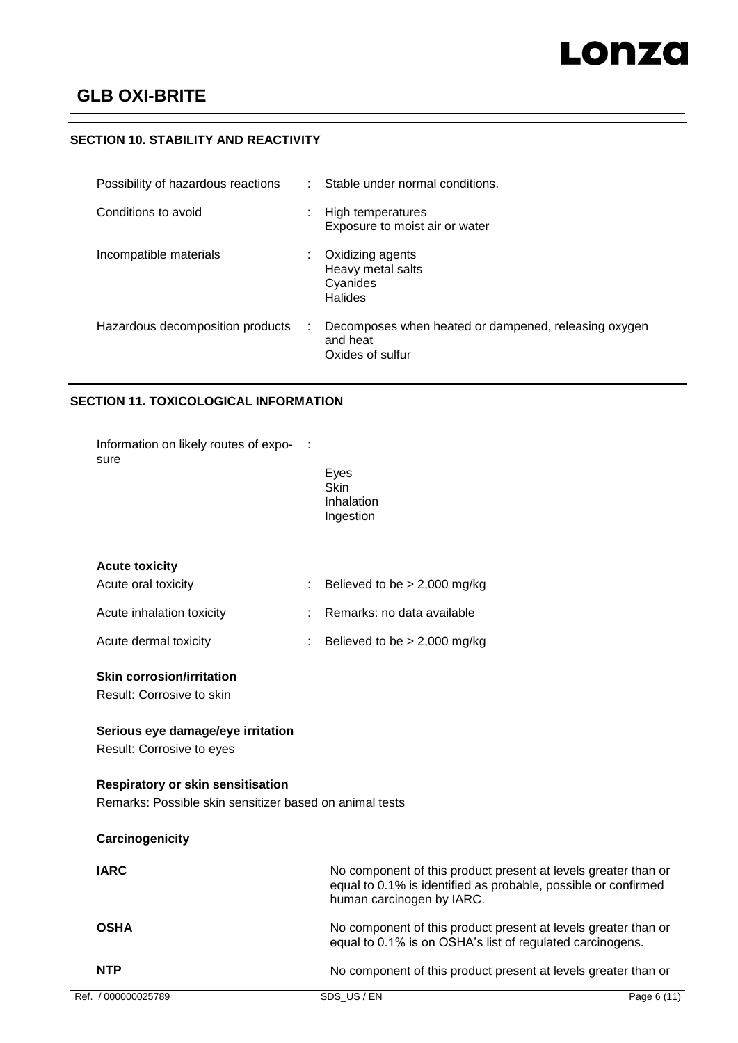### **SECTION 10. STABILITY AND REACTIVITY**

| Possibility of hazardous reactions |    | Stable under normal conditions.                                                      |
|------------------------------------|----|--------------------------------------------------------------------------------------|
| Conditions to avoid                | ٠  | High temperatures<br>Exposure to moist air or water                                  |
| Incompatible materials             | ÷. | Oxidizing agents<br>Heavy metal salts<br>Cyanides<br><b>Halides</b>                  |
| Hazardous decomposition products   |    | Decomposes when heated or dampened, releasing oxygen<br>and heat<br>Oxides of sulfur |

### **SECTION 11. TOXICOLOGICAL INFORMATION**

| Ref. / 000000025789                                            | SDS US/EN                                                                                                                                                     | Page 6 (11) |
|----------------------------------------------------------------|---------------------------------------------------------------------------------------------------------------------------------------------------------------|-------------|
| <b>NTP</b>                                                     | No component of this product present at levels greater than or                                                                                                |             |
| <b>OSHA</b>                                                    | No component of this product present at levels greater than or<br>equal to 0.1% is on OSHA's list of regulated carcinogens.                                   |             |
| <b>IARC</b>                                                    | No component of this product present at levels greater than or<br>equal to 0.1% is identified as probable, possible or confirmed<br>human carcinogen by IARC. |             |
| Carcinogenicity                                                |                                                                                                                                                               |             |
| Remarks: Possible skin sensitizer based on animal tests        |                                                                                                                                                               |             |
| <b>Respiratory or skin sensitisation</b>                       |                                                                                                                                                               |             |
| Serious eye damage/eye irritation<br>Result: Corrosive to eyes |                                                                                                                                                               |             |
| <b>Skin corrosion/irritation</b><br>Result: Corrosive to skin  |                                                                                                                                                               |             |
| Acute dermal toxicity                                          | Believed to be $> 2,000$ mg/kg                                                                                                                                |             |
| Acute inhalation toxicity                                      | Remarks: no data available                                                                                                                                    |             |
| Acute oral toxicity                                            | Believed to be $> 2,000$ mg/kg                                                                                                                                |             |
| <b>Acute toxicity</b>                                          |                                                                                                                                                               |             |
|                                                                | <b>Skin</b><br>Inhalation<br>Ingestion                                                                                                                        |             |
| Information on likely routes of expo-<br>sure                  | Eyes                                                                                                                                                          |             |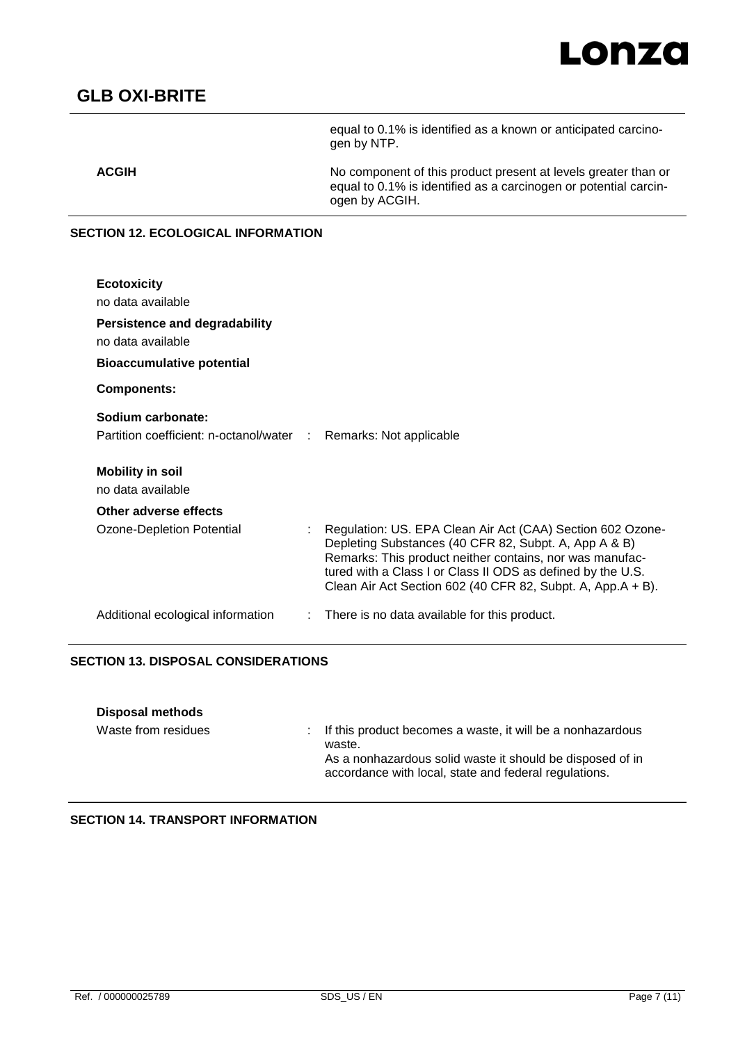

equal to 0.1% is identified as a known or anticipated carcinogen by NTP.

**ACGIH** No component of this product present at levels greater than or equal to 0.1% is identified as a carcinogen or potential carcinogen by ACGIH.

#### **SECTION 12. ECOLOGICAL INFORMATION**

| <b>Ecotoxicity</b><br>no data available<br><b>Persistence and degradability</b><br>no data available |                                                                                                                                                                                                                                                                                                               |
|------------------------------------------------------------------------------------------------------|---------------------------------------------------------------------------------------------------------------------------------------------------------------------------------------------------------------------------------------------------------------------------------------------------------------|
| <b>Bioaccumulative potential</b>                                                                     |                                                                                                                                                                                                                                                                                                               |
| <b>Components:</b>                                                                                   |                                                                                                                                                                                                                                                                                                               |
| Sodium carbonate:<br>Partition coefficient: n-octanol/water : Remarks: Not applicable                |                                                                                                                                                                                                                                                                                                               |
| <b>Mobility in soil</b><br>no data available                                                         |                                                                                                                                                                                                                                                                                                               |
| Other adverse effects                                                                                |                                                                                                                                                                                                                                                                                                               |
| Ozone-Depletion Potential                                                                            | Regulation: US. EPA Clean Air Act (CAA) Section 602 Ozone-<br>Depleting Substances (40 CFR 82, Subpt. A, App A & B)<br>Remarks: This product neither contains, nor was manufac-<br>tured with a Class I or Class II ODS as defined by the U.S.<br>Clean Air Act Section 602 (40 CFR 82, Subpt. A, App.A + B). |
| Additional ecological information                                                                    | There is no data available for this product.                                                                                                                                                                                                                                                                  |

### **SECTION 13. DISPOSAL CONSIDERATIONS**

| Disposal methods    |                                                                                                                                                                                              |
|---------------------|----------------------------------------------------------------------------------------------------------------------------------------------------------------------------------------------|
| Waste from residues | : If this product becomes a waste, it will be a nonhazardous<br>waste.<br>As a nonhazardous solid waste it should be disposed of in<br>accordance with local, state and federal regulations. |

**SECTION 14. TRANSPORT INFORMATION**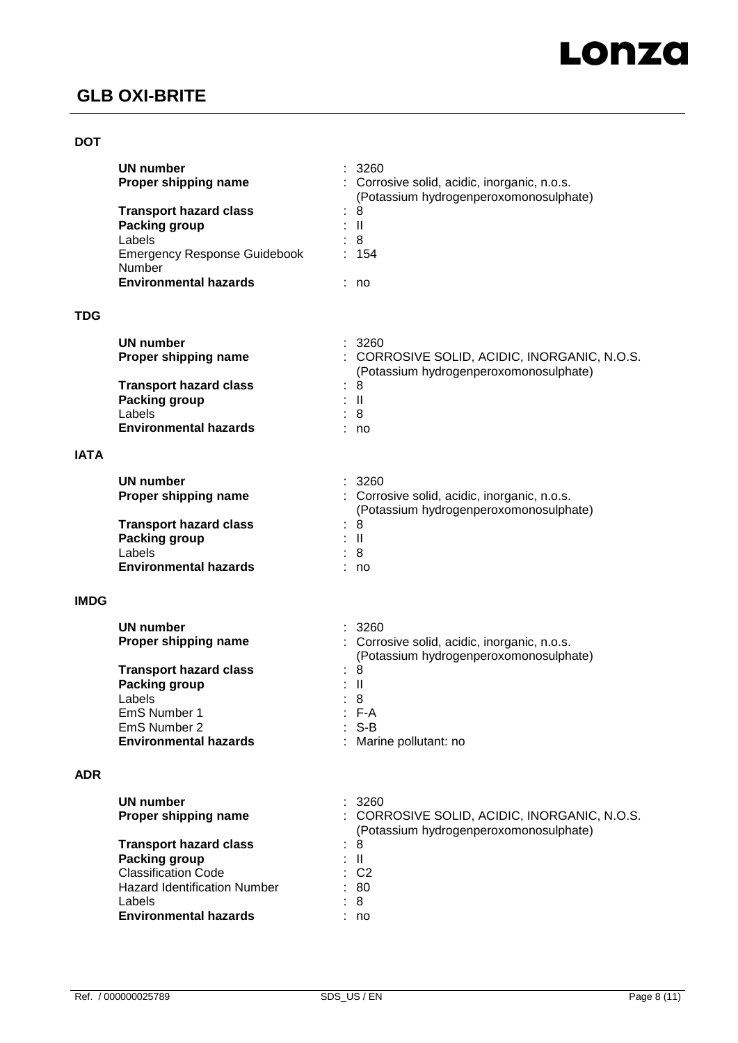### **DOT**

|             | <b>UN number</b><br>Proper shipping name                                                                                                                                                                         | 3260<br>Corrosive solid, acidic, inorganic, n.o.s.                                                                                                             |
|-------------|------------------------------------------------------------------------------------------------------------------------------------------------------------------------------------------------------------------|----------------------------------------------------------------------------------------------------------------------------------------------------------------|
|             | <b>Transport hazard class</b><br><b>Packing group</b><br>Labels<br><b>Emergency Response Guidebook</b><br>Number<br><b>Environmental hazards</b>                                                                 | (Potassium hydrogenperoxomonosulphate)<br>8<br>$\mathbf{II}$<br>8<br>154<br>: no                                                                               |
| <b>TDG</b>  |                                                                                                                                                                                                                  |                                                                                                                                                                |
| <b>IATA</b> | <b>UN number</b><br>Proper shipping name<br><b>Transport hazard class</b><br><b>Packing group</b><br>Labels<br><b>Environmental hazards</b>                                                                      | 3260<br>: CORROSIVE SOLID, ACIDIC, INORGANIC, N.O.S.<br>(Potassium hydrogenperoxomonosulphate)<br>8<br>$\mathbf{II}$<br>8<br>no                                |
|             | <b>UN number</b><br>Proper shipping name<br><b>Transport hazard class</b><br><b>Packing group</b><br>Labels<br><b>Environmental hazards</b>                                                                      | : 3260<br>: Corrosive solid, acidic, inorganic, n.o.s.<br>(Potassium hydrogenperoxomonosulphate)<br>8<br>$\mathbf{II}$<br>8<br>no                              |
| <b>IMDG</b> | <b>UN number</b><br>Proper shipping name<br><b>Transport hazard class</b><br><b>Packing group</b><br>Labels<br>EmS Number 1<br>EmS Number 2<br><b>Environmental hazards</b>                                      | 3260<br>Corrosive solid, acidic, inorganic, n.o.s.<br>(Potassium hydrogenperoxomonosulphate)<br>8<br>$\mathbf{I}$<br>8<br>F-A<br>: S-B<br>Marine pollutant: no |
| <b>ADR</b>  | <b>UN number</b><br>Proper shipping name<br><b>Transport hazard class</b><br><b>Packing group</b><br><b>Classification Code</b><br><b>Hazard Identification Number</b><br>Labels<br><b>Environmental hazards</b> | 3260<br>CORROSIVE SOLID, ACIDIC, INORGANIC, N.O.S.<br>(Potassium hydrogenperoxomonosulphate)<br>8<br>$\mathbf{II}$<br>C <sub>2</sub><br>80<br>8<br>no          |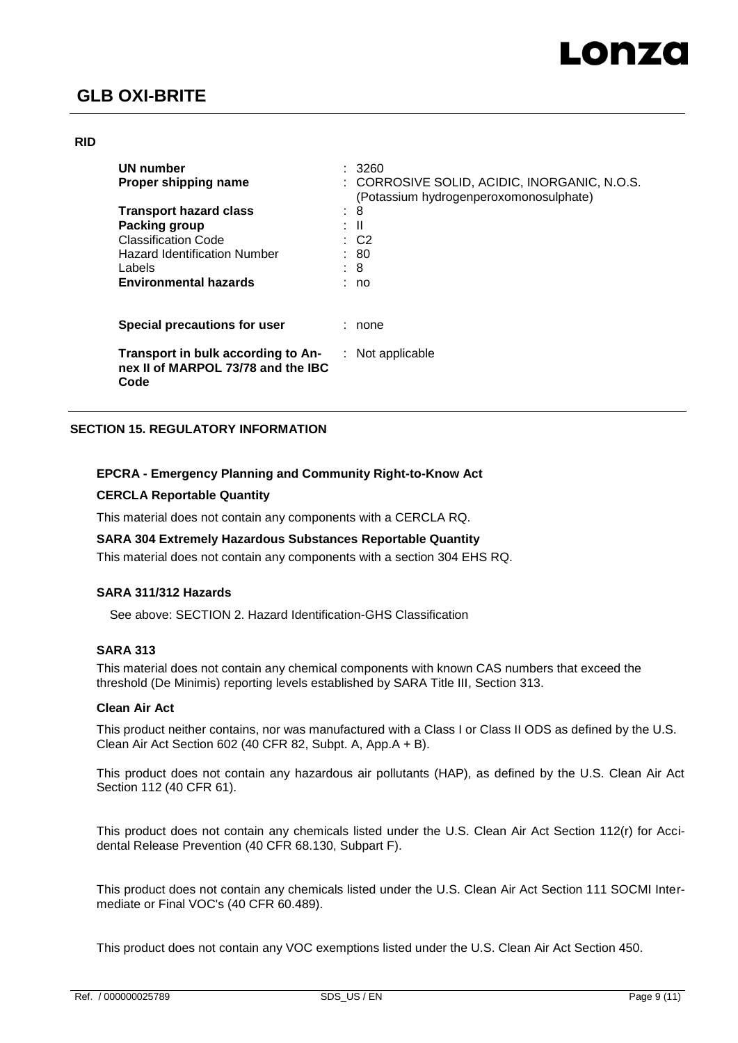### **RID**

| UN number<br>Proper shipping name                                                |    | 3260<br>: CORROSIVE SOLID, ACIDIC, INORGANIC, N.O.S.<br>(Potassium hydrogenperoxomonosulphate) |
|----------------------------------------------------------------------------------|----|------------------------------------------------------------------------------------------------|
| <b>Transport hazard class</b>                                                    | ÷  | 8                                                                                              |
| Packing group                                                                    | ÷. | - 11                                                                                           |
| <b>Classification Code</b>                                                       |    | $\therefore$ C2                                                                                |
| <b>Hazard Identification Number</b>                                              |    | : 80                                                                                           |
| Labels                                                                           |    | : 8                                                                                            |
| <b>Environmental hazards</b>                                                     |    | no                                                                                             |
| Special precautions for user                                                     |    | none                                                                                           |
| Transport in bulk according to An-<br>nex II of MARPOL 73/78 and the IBC<br>Code |    | $:$ Not applicable                                                                             |

### **SECTION 15. REGULATORY INFORMATION**

### **EPCRA - Emergency Planning and Community Right-to-Know Act**

#### **CERCLA Reportable Quantity**

This material does not contain any components with a CERCLA RQ.

#### **SARA 304 Extremely Hazardous Substances Reportable Quantity**

This material does not contain any components with a section 304 EHS RQ.

### **SARA 311/312 Hazards**

See above: SECTION 2. Hazard Identification-GHS Classification

#### **SARA 313**

This material does not contain any chemical components with known CAS numbers that exceed the threshold (De Minimis) reporting levels established by SARA Title III, Section 313.

#### **Clean Air Act**

This product neither contains, nor was manufactured with a Class I or Class II ODS as defined by the U.S. Clean Air Act Section 602 (40 CFR 82, Subpt. A, App.A + B).

This product does not contain any hazardous air pollutants (HAP), as defined by the U.S. Clean Air Act Section 112 (40 CFR 61).

This product does not contain any chemicals listed under the U.S. Clean Air Act Section 112(r) for Accidental Release Prevention (40 CFR 68.130, Subpart F).

This product does not contain any chemicals listed under the U.S. Clean Air Act Section 111 SOCMI Intermediate or Final VOC's (40 CFR 60.489).

This product does not contain any VOC exemptions listed under the U.S. Clean Air Act Section 450.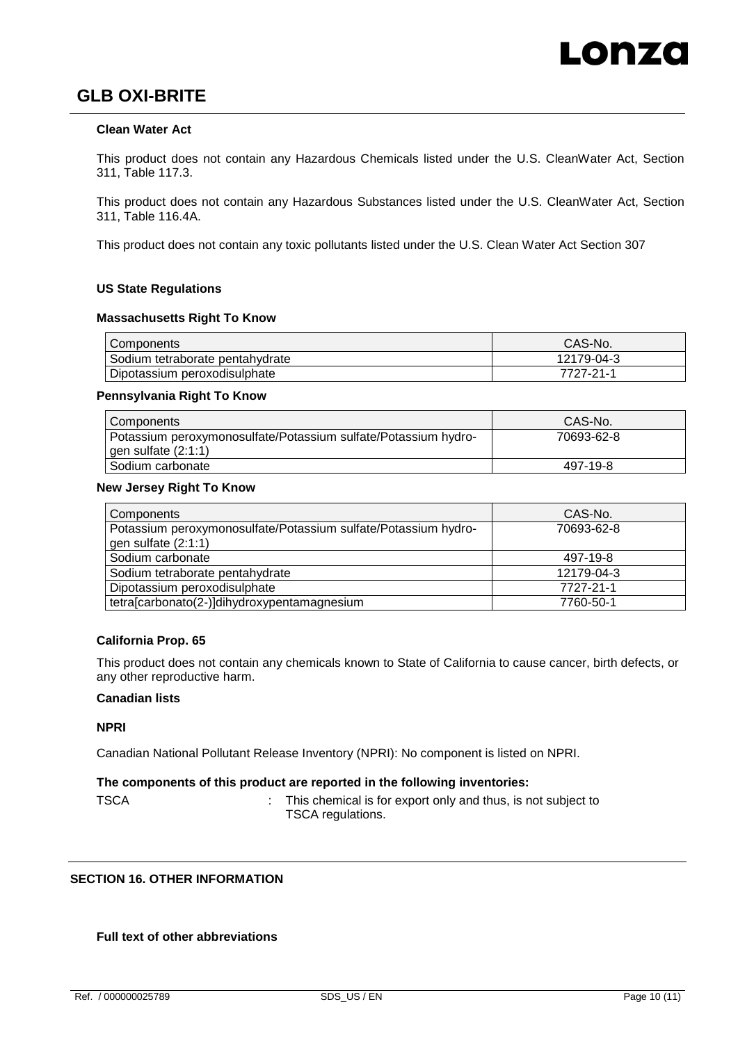### **Clean Water Act**

This product does not contain any Hazardous Chemicals listed under the U.S. CleanWater Act, Section 311, Table 117.3.

This product does not contain any Hazardous Substances listed under the U.S. CleanWater Act, Section 311, Table 116.4A.

This product does not contain any toxic pollutants listed under the U.S. Clean Water Act Section 307

#### **US State Regulations**

#### **Massachusetts Right To Know**

| Components                      | CAS-No.    |
|---------------------------------|------------|
| Sodium tetraborate pentahydrate | 12179-04-3 |
| Dipotassium peroxodisulphate    | 7727-21-1  |

#### **Pennsylvania Right To Know**

| Components                                                                                | CAS-No.    |
|-------------------------------------------------------------------------------------------|------------|
| Potassium peroxymonosulfate/Potassium sulfate/Potassium hydro-<br>$gen$ sulfate $(2:1:1)$ | 70693-62-8 |
| Sodium carbonate                                                                          | 497-19-8   |

#### **New Jersey Right To Know**

| Components                                                     | CAS-No.    |
|----------------------------------------------------------------|------------|
| Potassium peroxymonosulfate/Potassium sulfate/Potassium hydro- | 70693-62-8 |
| gen sulfate (2:1:1)                                            |            |
| Sodium carbonate                                               | 497-19-8   |
| Sodium tetraborate pentahydrate                                | 12179-04-3 |
| Dipotassium peroxodisulphate                                   | 7727-21-1  |
| tetra[carbonato(2-)]dihydroxypentamagnesium                    | 7760-50-1  |

#### **California Prop. 65**

This product does not contain any chemicals known to State of California to cause cancer, birth defects, or any other reproductive harm.

#### **Canadian lists**

### **NPRI**

Canadian National Pollutant Release Inventory (NPRI): No component is listed on NPRI.

### **The components of this product are reported in the following inventories:**

TSCA **:** This chemical is for export only and thus, is not subject to TSCA regulations.

### **SECTION 16. OTHER INFORMATION**

### **Full text of other abbreviations**